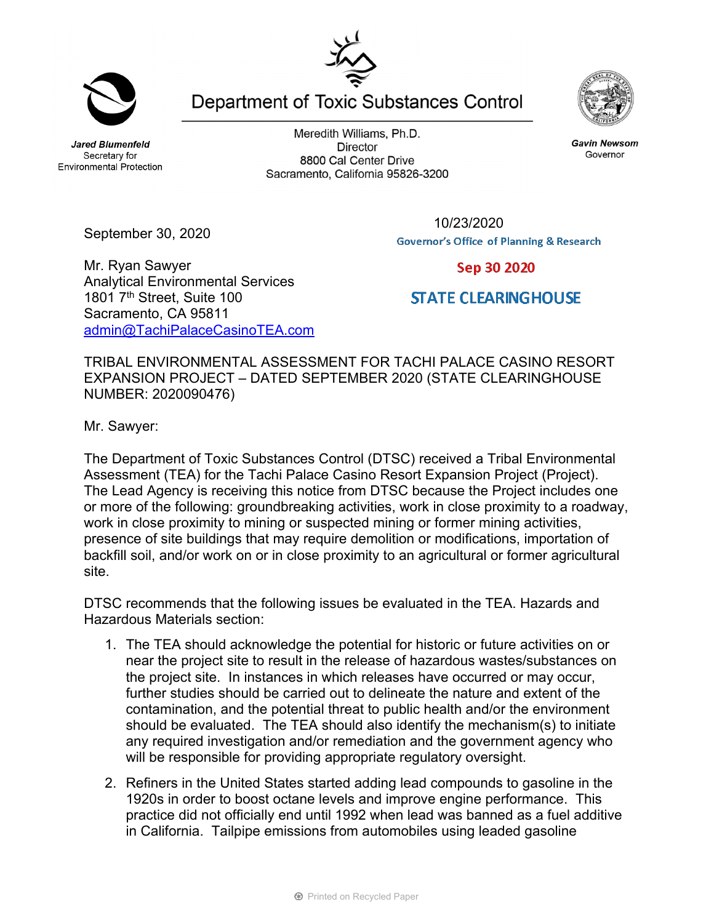**Jared Blumenfeld** Secretary for **Environmental Protection** 

September 30, 2020

Meredith Williams, Ph.D. **Director** 8800 Cal Center Drive Sacramento, California 95826-3200

Department of Toxic Substances Control

10/23/2020**Governor's Office of Planning & Research** 

Sep 30 2020

**STATE CLEARING HOUSE** 

Mr. Ryan Sawyer Analytical Environmental Services 1801 7<sup>th</sup> Street, Suite 100 Sacramento, CA 95811 admin@TachiPalaceCasinoTEA.com

TRIBAL ENVIRONMENTAL ASSESSMENT FOR TACHI PALACE CASINO RESORT EXPANSION PROJECT – DATED SEPTEMBER 2020 (STATE CLEARINGHOUSE NUMBER: 2020090476)

Mr. Sawyer:

The Department of Toxic Substances Control (DTSC) received a Tribal Environmental Assessment (TEA) for the Tachi Palace Casino Resort Expansion Project (Project). The Lead Agency is receiving this notice from DTSC because the Project includes one or more of the following: groundbreaking activities, work in close proximity to a roadway, work in close proximity to mining or suspected mining or former mining activities, presence of site buildings that may require demolition or modifications, importation of backfill soil, and/or work on or in close proximity to an agricultural or former agricultural site.

DTSC recommends that the following issues be evaluated in the TEA. Hazards and Hazardous Materials section:

- 1. The TEA should acknowledge the potential for historic or future activities on or near the project site to result in the release of hazardous wastes/substances on the project site. In instances in which releases have occurred or may occur, further studies should be carried out to delineate the nature and extent of the contamination, and the potential threat to public health and/or the environment should be evaluated. The TEA should also identify the mechanism(s) to initiate any required investigation and/or remediation and the government agency who will be responsible for providing appropriate regulatory oversight.
- 2. Refiners in the United States started adding lead compounds to gasoline in the 1920s in order to boost octane levels and improve engine performance. This practice did not officially end until 1992 when lead was banned as a fuel additive in California. Tailpipe emissions from automobiles using leaded gasoline

**Gavin Newsom** 

Governor





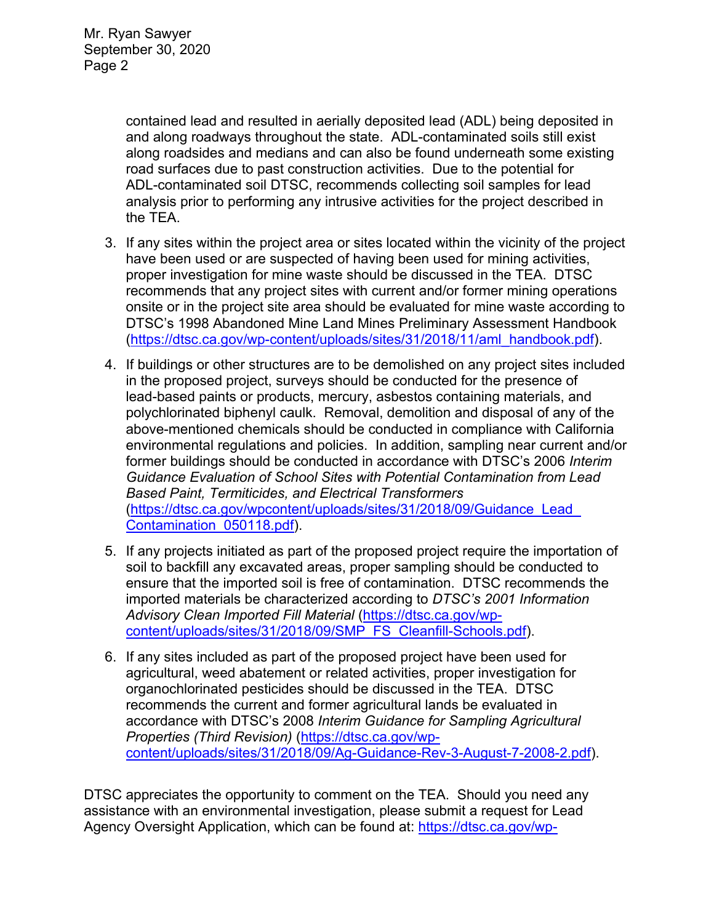contained lead and resulted in aerially deposited lead (ADL) being deposited in and along roadways throughout the state. ADL-contaminated soils still exist along roadsides and medians and can also be found underneath some existing road surfaces due to past construction activities. Due to the potential for ADL-contaminated soil DTSC, recommends collecting soil samples for lead analysis prior to performing any intrusive activities for the project described in the TEA.

- 3. If any sites within the project area or sites located within the vicinity of the project have been used or are suspected of having been used for mining activities, proper investigation for mine waste should be discussed in the TEA. DTSC recommends that any project sites with current and/or former mining operations onsite or in the project site area should be evaluated for mine waste according to DTSC's 1998 Abandoned Mine Land Mines Preliminary Assessment Handbook (https://dtsc.ca.gov/wp-content/uploads/sites/31/2018/11/aml\_handbook.pdf).
- 4. If buildings or other structures are to be demolished on any project sites included in the proposed project, surveys should be conducted for the presence of lead-based paints or products, mercury, asbestos containing materials, and polychlorinated biphenyl caulk. Removal, demolition and disposal of any of the above-mentioned chemicals should be conducted in compliance with California environmental regulations and policies. In addition, sampling near current and/or former buildings should be conducted in accordance with DTSC's 2006 *Interim Guidance Evaluation of School Sites with Potential Contamination from Lead Based Paint, Termiticides, and Electrical Transformers*  (https://dtsc.ca.gov/wpcontent/uploads/sites/31/2018/09/Guidance\_Lead\_ Contamination\_050118.pdf).
- 5. If any projects initiated as part of the proposed project require the importation of soil to backfill any excavated areas, proper sampling should be conducted to ensure that the imported soil is free of contamination. DTSC recommends the imported materials be characterized according to *DTSC's 2001 Information Advisory Clean Imported Fill Material* (https://dtsc.ca.gov/wpcontent/uploads/sites/31/2018/09/SMP\_FS\_Cleanfill-Schools.pdf).
- 6. If any sites included as part of the proposed project have been used for agricultural, weed abatement or related activities, proper investigation for organochlorinated pesticides should be discussed in the TEA. DTSC recommends the current and former agricultural lands be evaluated in accordance with DTSC's 2008 *Interim Guidance for Sampling Agricultural Properties (Third Revision)* (https://dtsc.ca.gov/wpcontent/uploads/sites/31/2018/09/Ag-Guidance-Rev-3-August-7-2008-2.pdf).

DTSC appreciates the opportunity to comment on the TEA. Should you need any assistance with an environmental investigation, please submit a request for Lead Agency Oversight Application, which can be found at: https://dtsc.ca.gov/wp